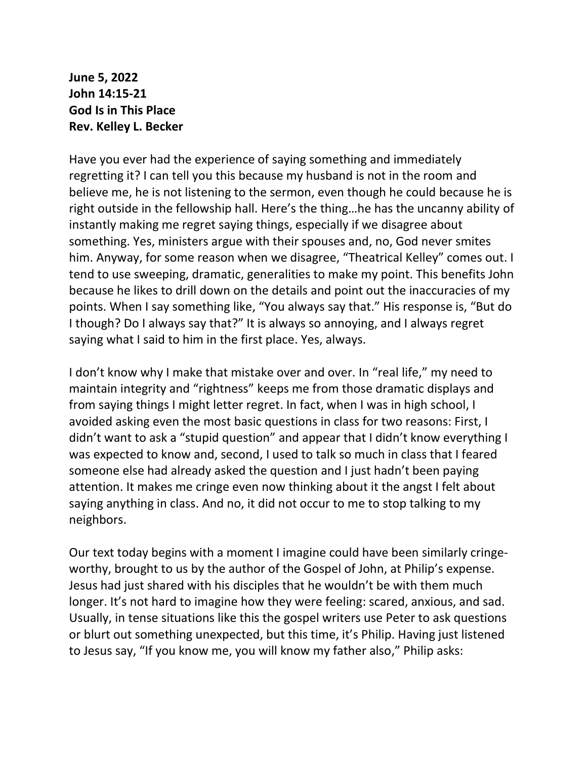**June 5, 2022 John 14:15-21 God Is in This Place Rev. Kelley L. Becker**

Have you ever had the experience of saying something and immediately regretting it? I can tell you this because my husband is not in the room and believe me, he is not listening to the sermon, even though he could because he is right outside in the fellowship hall. Here's the thing…he has the uncanny ability of instantly making me regret saying things, especially if we disagree about something. Yes, ministers argue with their spouses and, no, God never smites him. Anyway, for some reason when we disagree, "Theatrical Kelley" comes out. I tend to use sweeping, dramatic, generalities to make my point. This benefits John because he likes to drill down on the details and point out the inaccuracies of my points. When I say something like, "You always say that." His response is, "But do I though? Do I always say that?" It is always so annoying, and I always regret saying what I said to him in the first place. Yes, always.

I don't know why I make that mistake over and over. In "real life," my need to maintain integrity and "rightness" keeps me from those dramatic displays and from saying things I might letter regret. In fact, when I was in high school, I avoided asking even the most basic questions in class for two reasons: First, I didn't want to ask a "stupid question" and appear that I didn't know everything I was expected to know and, second, I used to talk so much in class that I feared someone else had already asked the question and I just hadn't been paying attention. It makes me cringe even now thinking about it the angst I felt about saying anything in class. And no, it did not occur to me to stop talking to my neighbors.

Our text today begins with a moment I imagine could have been similarly cringeworthy, brought to us by the author of the Gospel of John, at Philip's expense. Jesus had just shared with his disciples that he wouldn't be with them much longer. It's not hard to imagine how they were feeling: scared, anxious, and sad. Usually, in tense situations like this the gospel writers use Peter to ask questions or blurt out something unexpected, but this time, it's Philip. Having just listened to Jesus say, "If you know me, you will know my father also," Philip asks: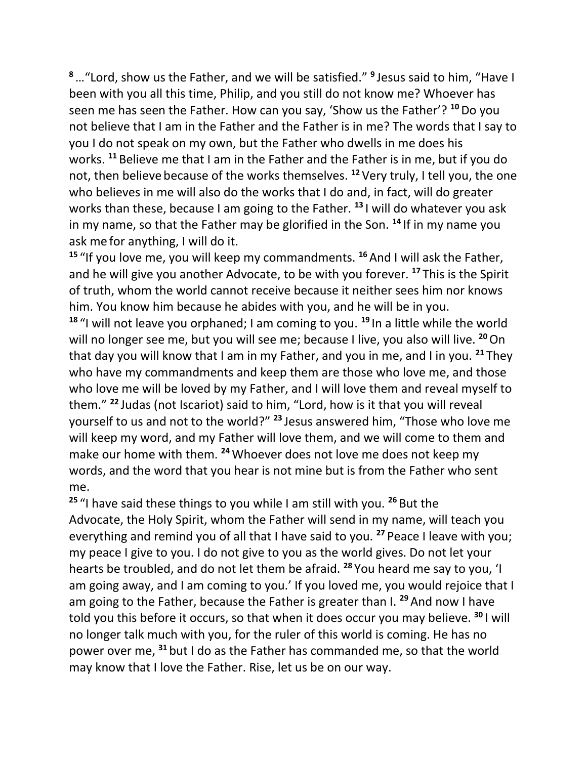**<sup>8</sup>**…"Lord, show us the Father, and we will be satisfied." **<sup>9</sup>** Jesus said to him, "Have I been with you all this time, Philip, and you still do not know me? Whoever has seen me has seen the Father. How can you say, 'Show us the Father'? **<sup>10</sup>**Do you not believe that I am in the Father and the Father is in me? The words that I say to you I do not speak on my own, but the Father who dwells in me does his works. **<sup>11</sup>** Believe me that I am in the Father and the Father is in me, but if you do not, then believe because of the works themselves. **<sup>12</sup>** Very truly, I tell you, the one who believes in me will also do the works that I do and, in fact, will do greater works than these, because I am going to the Father. **<sup>13</sup>** I will do whatever you ask in my name, so that the Father may be glorified in the Son. **<sup>14</sup>** If in my name you ask me for anything, I will do it.

**<sup>15</sup>** "If you love me, you will keep my commandments. **<sup>16</sup>** And I will ask the Father, and he will give you another Advocate, to be with you forever. **<sup>17</sup>** This is the Spirit of truth, whom the world cannot receive because it neither sees him nor knows him. You know him because he abides with you, and he will be in you.

**<sup>18</sup>** "I will not leave you orphaned; I am coming to you. **<sup>19</sup>** In a little while the world will no longer see me, but you will see me; because I live, you also will live. <sup>20</sup> On that day you will know that I am in my Father, and you in me, and I in you. **<sup>21</sup>** They who have my commandments and keep them are those who love me, and those who love me will be loved by my Father, and I will love them and reveal myself to them." **<sup>22</sup>** Judas (not Iscariot) said to him, "Lord, how is it that you will reveal yourself to us and not to the world?" **<sup>23</sup>** Jesus answered him, "Those who love me will keep my word, and my Father will love them, and we will come to them and make our home with them. **<sup>24</sup>**Whoever does not love me does not keep my words, and the word that you hear is not mine but is from the Father who sent me.

**<sup>25</sup>** "I have said these things to you while I am still with you. **<sup>26</sup>** But the Advocate, the Holy Spirit, whom the Father will send in my name, will teach you everything and remind you of all that I have said to you. **<sup>27</sup>** Peace I leave with you; my peace I give to you. I do not give to you as the world gives. Do not let your hearts be troubled, and do not let them be afraid. **<sup>28</sup>** You heard me say to you, 'I am going away, and I am coming to you.' If you loved me, you would rejoice that I am going to the Father, because the Father is greater than I. **<sup>29</sup>** And now I have told you this before it occurs, so that when it does occur you may believe. **<sup>30</sup>** I will no longer talk much with you, for the ruler of this world is coming. He has no power over me, **<sup>31</sup>** but I do as the Father has commanded me, so that the world may know that I love the Father. Rise, let us be on our way.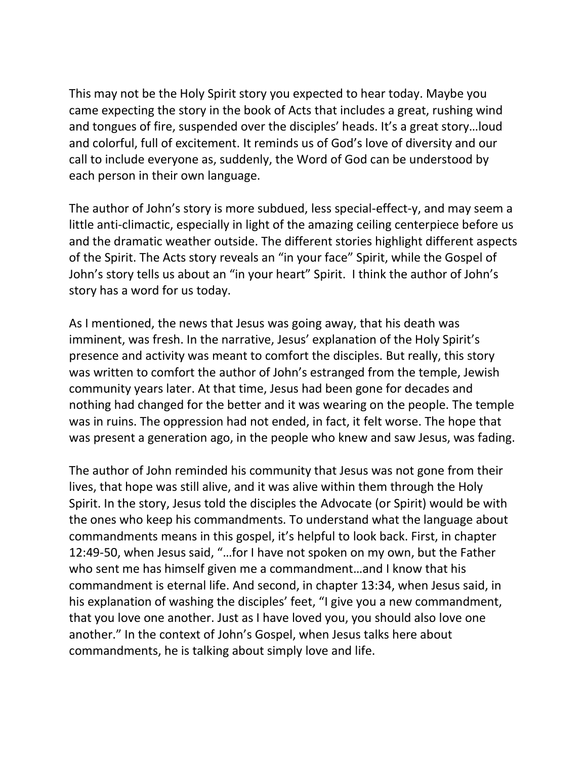This may not be the Holy Spirit story you expected to hear today. Maybe you came expecting the story in the book of Acts that includes a great, rushing wind and tongues of fire, suspended over the disciples' heads. It's a great story…loud and colorful, full of excitement. It reminds us of God's love of diversity and our call to include everyone as, suddenly, the Word of God can be understood by each person in their own language.

The author of John's story is more subdued, less special-effect-y, and may seem a little anti-climactic, especially in light of the amazing ceiling centerpiece before us and the dramatic weather outside. The different stories highlight different aspects of the Spirit. The Acts story reveals an "in your face" Spirit, while the Gospel of John's story tells us about an "in your heart" Spirit. I think the author of John's story has a word for us today.

As I mentioned, the news that Jesus was going away, that his death was imminent, was fresh. In the narrative, Jesus' explanation of the Holy Spirit's presence and activity was meant to comfort the disciples. But really, this story was written to comfort the author of John's estranged from the temple, Jewish community years later. At that time, Jesus had been gone for decades and nothing had changed for the better and it was wearing on the people. The temple was in ruins. The oppression had not ended, in fact, it felt worse. The hope that was present a generation ago, in the people who knew and saw Jesus, was fading.

The author of John reminded his community that Jesus was not gone from their lives, that hope was still alive, and it was alive within them through the Holy Spirit. In the story, Jesus told the disciples the Advocate (or Spirit) would be with the ones who keep his commandments. To understand what the language about commandments means in this gospel, it's helpful to look back. First, in chapter 12:49-50, when Jesus said, "…for I have not spoken on my own, but the Father who sent me has himself given me a commandment…and I know that his commandment is eternal life. And second, in chapter 13:34, when Jesus said, in his explanation of washing the disciples' feet, "I give you a new commandment, that you love one another. Just as I have loved you, you should also love one another." In the context of John's Gospel, when Jesus talks here about commandments, he is talking about simply love and life.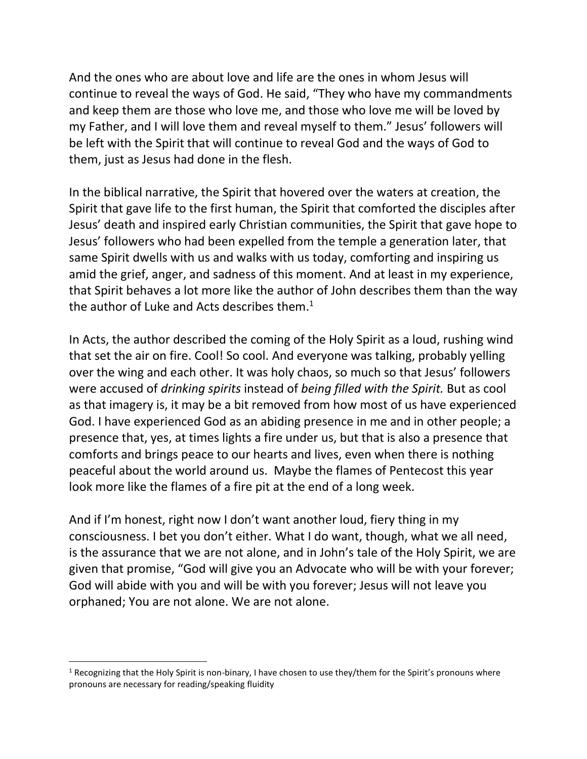And the ones who are about love and life are the ones in whom Jesus will continue to reveal the ways of God. He said, "They who have my commandments and keep them are those who love me, and those who love me will be loved by my Father, and I will love them and reveal myself to them." Jesus' followers will be left with the Spirit that will continue to reveal God and the ways of God to them, just as Jesus had done in the flesh.

In the biblical narrative, the Spirit that hovered over the waters at creation, the Spirit that gave life to the first human, the Spirit that comforted the disciples after Jesus' death and inspired early Christian communities, the Spirit that gave hope to Jesus' followers who had been expelled from the temple a generation later, that same Spirit dwells with us and walks with us today, comforting and inspiring us amid the grief, anger, and sadness of this moment. And at least in my experience, that Spirit behaves a lot more like the author of John describes them than the way the author of Luke and Acts describes them. $^1$ 

In Acts, the author described the coming of the Holy Spirit as a loud, rushing wind that set the air on fire. Cool! So cool. And everyone was talking, probably yelling over the wing and each other. It was holy chaos, so much so that Jesus' followers were accused of *drinking spirits* instead of *being filled with the Spirit.* But as cool as that imagery is, it may be a bit removed from how most of us have experienced God. I have experienced God as an abiding presence in me and in other people; a presence that, yes, at times lights a fire under us, but that is also a presence that comforts and brings peace to our hearts and lives, even when there is nothing peaceful about the world around us. Maybe the flames of Pentecost this year look more like the flames of a fire pit at the end of a long week.

And if I'm honest, right now I don't want another loud, fiery thing in my consciousness. I bet you don't either. What I do want, though, what we all need, is the assurance that we are not alone, and in John's tale of the Holy Spirit, we are given that promise, "God will give you an Advocate who will be with your forever; God will abide with you and will be with you forever; Jesus will not leave you orphaned; You are not alone. We are not alone.

<sup>&</sup>lt;sup>1</sup> Recognizing that the Holy Spirit is non-binary, I have chosen to use they/them for the Spirit's pronouns where pronouns are necessary for reading/speaking fluidity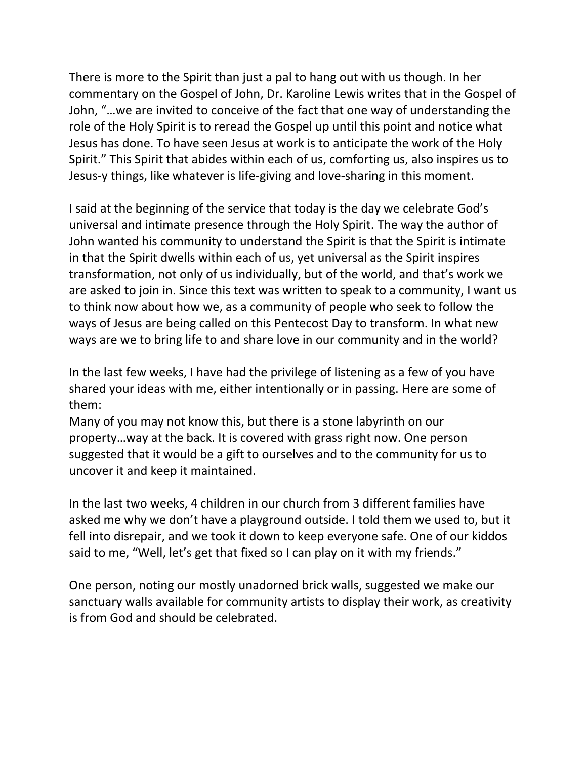There is more to the Spirit than just a pal to hang out with us though. In her commentary on the Gospel of John, Dr. Karoline Lewis writes that in the Gospel of John, "…we are invited to conceive of the fact that one way of understanding the role of the Holy Spirit is to reread the Gospel up until this point and notice what Jesus has done. To have seen Jesus at work is to anticipate the work of the Holy Spirit." This Spirit that abides within each of us, comforting us, also inspires us to Jesus-y things, like whatever is life-giving and love-sharing in this moment.

I said at the beginning of the service that today is the day we celebrate God's universal and intimate presence through the Holy Spirit. The way the author of John wanted his community to understand the Spirit is that the Spirit is intimate in that the Spirit dwells within each of us, yet universal as the Spirit inspires transformation, not only of us individually, but of the world, and that's work we are asked to join in. Since this text was written to speak to a community, I want us to think now about how we, as a community of people who seek to follow the ways of Jesus are being called on this Pentecost Day to transform. In what new ways are we to bring life to and share love in our community and in the world?

In the last few weeks, I have had the privilege of listening as a few of you have shared your ideas with me, either intentionally or in passing. Here are some of them:

Many of you may not know this, but there is a stone labyrinth on our property…way at the back. It is covered with grass right now. One person suggested that it would be a gift to ourselves and to the community for us to uncover it and keep it maintained.

In the last two weeks, 4 children in our church from 3 different families have asked me why we don't have a playground outside. I told them we used to, but it fell into disrepair, and we took it down to keep everyone safe. One of our kiddos said to me, "Well, let's get that fixed so I can play on it with my friends."

One person, noting our mostly unadorned brick walls, suggested we make our sanctuary walls available for community artists to display their work, as creativity is from God and should be celebrated.